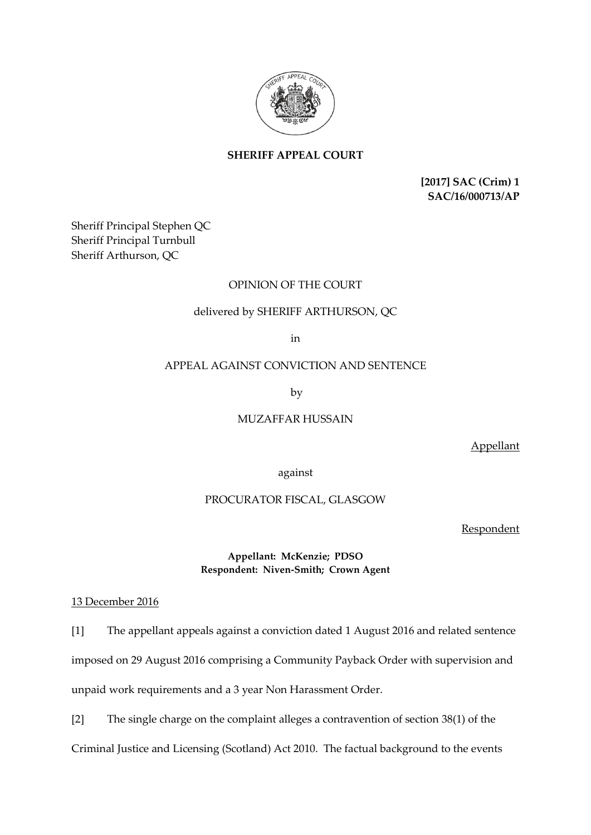

**SHERIFF APPEAL COURT**

**[2017] SAC (Crim) 1 SAC/16/000713/AP**

Sheriff Principal Stephen QC Sheriff Principal Turnbull Sheriff Arthurson, QC

# OPINION OF THE COURT

# delivered by SHERIFF ARTHURSON, QC

in

## APPEAL AGAINST CONVICTION AND SENTENCE

by

MUZAFFAR HUSSAIN

Appellant

against

## PROCURATOR FISCAL, GLASGOW

Respondent

## **Appellant: McKenzie; PDSO Respondent: Niven-Smith; Crown Agent**

## 13 December 2016

[1] The appellant appeals against a conviction dated 1 August 2016 and related sentence imposed on 29 August 2016 comprising a Community Payback Order with supervision and unpaid work requirements and a 3 year Non Harassment Order.

[2] The single charge on the complaint alleges a contravention of section 38(1) of the Criminal Justice and Licensing (Scotland) Act 2010. The factual background to the events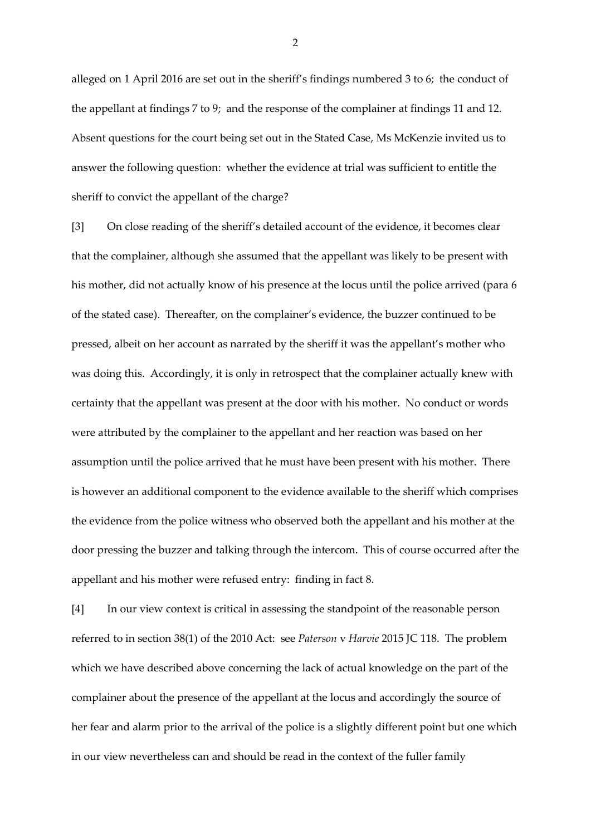alleged on 1 April 2016 are set out in the sheriff's findings numbered 3 to 6; the conduct of the appellant at findings 7 to 9; and the response of the complainer at findings 11 and 12. Absent questions for the court being set out in the Stated Case, Ms McKenzie invited us to answer the following question: whether the evidence at trial was sufficient to entitle the sheriff to convict the appellant of the charge?

[3] On close reading of the sheriff's detailed account of the evidence, it becomes clear that the complainer, although she assumed that the appellant was likely to be present with his mother, did not actually know of his presence at the locus until the police arrived (para 6 of the stated case). Thereafter, on the complainer's evidence, the buzzer continued to be pressed, albeit on her account as narrated by the sheriff it was the appellant's mother who was doing this. Accordingly, it is only in retrospect that the complainer actually knew with certainty that the appellant was present at the door with his mother. No conduct or words were attributed by the complainer to the appellant and her reaction was based on her assumption until the police arrived that he must have been present with his mother. There is however an additional component to the evidence available to the sheriff which comprises the evidence from the police witness who observed both the appellant and his mother at the door pressing the buzzer and talking through the intercom. This of course occurred after the appellant and his mother were refused entry: finding in fact 8.

[4] In our view context is critical in assessing the standpoint of the reasonable person referred to in section 38(1) of the 2010 Act: see *Paterson* v *Harvie* 2015 JC 118. The problem which we have described above concerning the lack of actual knowledge on the part of the complainer about the presence of the appellant at the locus and accordingly the source of her fear and alarm prior to the arrival of the police is a slightly different point but one which in our view nevertheless can and should be read in the context of the fuller family

2